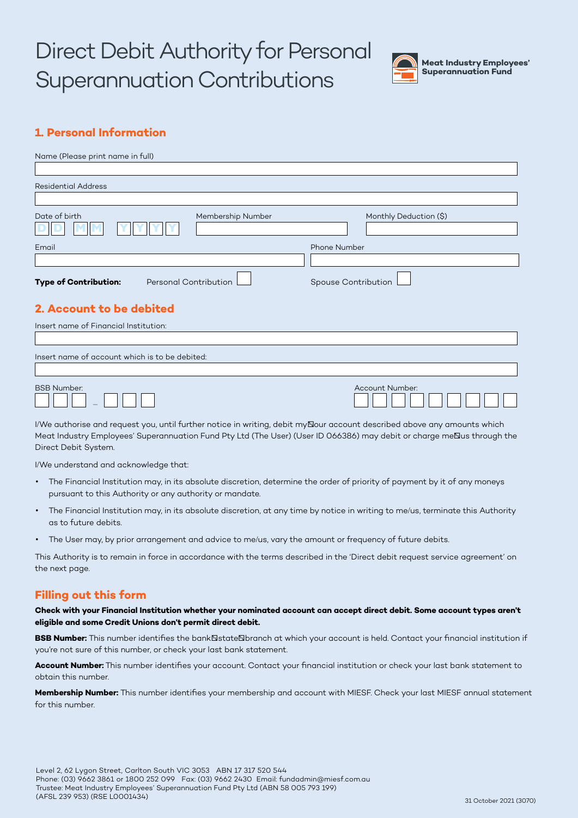# Direct Debit Authority for Personal Superannuation Contributions



# **1. Personal Information**

| Name (Please print name in full)                      |                     |                     |                        |  |  |  |
|-------------------------------------------------------|---------------------|---------------------|------------------------|--|--|--|
|                                                       |                     |                     |                        |  |  |  |
| <b>Residential Address</b>                            |                     |                     |                        |  |  |  |
| Date of birth                                         | Membership Number   |                     | Monthly Deduction (\$) |  |  |  |
| Email                                                 |                     | <b>Phone Number</b> |                        |  |  |  |
|                                                       |                     |                     |                        |  |  |  |
| <b>Type of Contribution:</b><br>Personal Contribution | Spouse Contribution |                     |                        |  |  |  |
| 2. Account to be debited                              |                     |                     |                        |  |  |  |
| Insert name of Financial Institution:                 |                     |                     |                        |  |  |  |
|                                                       |                     |                     |                        |  |  |  |
| Insert name of account which is to be debited:        |                     |                     |                        |  |  |  |
| <b>BSB Number:</b>                                    |                     |                     | Account Number:        |  |  |  |

I/We authorise and request you, until further notice in writing, debit myBour account described above any amounts which Meat Industry Employees' Superannuation Fund Pty Ltd (The User) (User ID 066386) may debit or charge me $\Xi$ us through the Direct Debit System.

I/We understand and acknowledge that:

–

- The Financial Institution may, in its absolute discretion, determine the order of priority of payment by it of any moneys pursuant to this Authority or any authority or mandate.
- The Financial Institution may, in its absolute discretion, at any time by notice in writing to me/us, terminate this Authority as to future debits.
- The User may, by prior arrangement and advice to me/us, vary the amount or frequency of future debits.

This Authority is to remain in force in accordance with the terms described in the 'Direct debit request service agreement' on the next page.

## **Filling out this form**

**Check with your Financial Institution whether your nominated account can accept direct debit. Some account types aren't eligible and some Credit Unions don't permit direct debit.**

BSB Number: This number identifies the bank<sup>State</sup>Nbranch at which your account is held. Contact your financial institution if you're not sure of this number, or check your last bank statement.

**Account Number:** This number identifies your account. Contact your financial institution or check your last bank statement to obtain this number.

**Membership Number:** This number identifies your membership and account with MIESF. Check your last MIESF annual statement for this number.